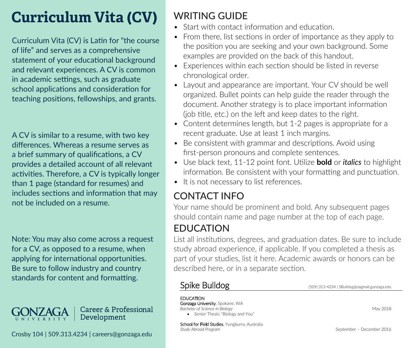# **Curriculum Vita (CV)**

Curriculum Vita (CV) is Latin for "the course of life" and serves as a comprehensive statement of your educational background and relevant experiences. A CV is common in academic settings, such as graduate school applications and consideration for teaching positions, fellowships, and grants.

A CV is similar to a resume, with two key differences. Whereas a resume serves as a brief summary of qualifications, a CV provides a detailed account of all relevant activities. Therefore, a CV is typically longer than 1 page (standard for resumes) and includes sections and information that may not be included on a resume.

Note: You may also come across a request for a CV, as opposed to a resume, when applying for international opportunities. Be sure to follow industry and country standards for content and formatting.



# WRITING GUIDE

- Start with contact information and education
- From there, list sections in order of importance as they apply to the position you are seeking and your own background. Some examples are provided on the back of this handout.
- Experiences within each section should be listed in reverse chronological order.
- Layout and appearance are important. Your CV should be well organized. Bullet points can help guide the reader through the document. Another strategy is to place important information (job title, etc.) on the left and keep dates to the right.
- Content determines length, but 1-2 pages is appropriate for a recent graduate. Use at least 1 inch margins.
- Be consistent with grammar and descriptions. Avoid using first-person pronouns and complete sentences.
- Use black text, 11-12 point font. Utilize **bold** or *italics* to highlight information. Be consistent with your formatting and punctuation.
- It is not necessary to list references.

# CONTACT INFO

Your name should be prominent and bold. Any subsequent pages should contain name and page number at the top of each page.

## EDUCATION

List all institutions, degrees, and graduation dates. Be sure to include study abroad experience, if applicable. If you completed a thesis as part of your studies, list it here. Academic awards or honors can be described here, or in a separate section.

**EDUCATION** 

Gonzaga University, Spokane, WA **Bachelor of Science in Biology** May 2018 Senior Thesis: "Biology and You"

Spike Bulldog (509) 313-4234 | SBulldog@zagmail.gonzaga.edu

School for Field Studies, Yungburra, Australia<br>Study Abroad Program